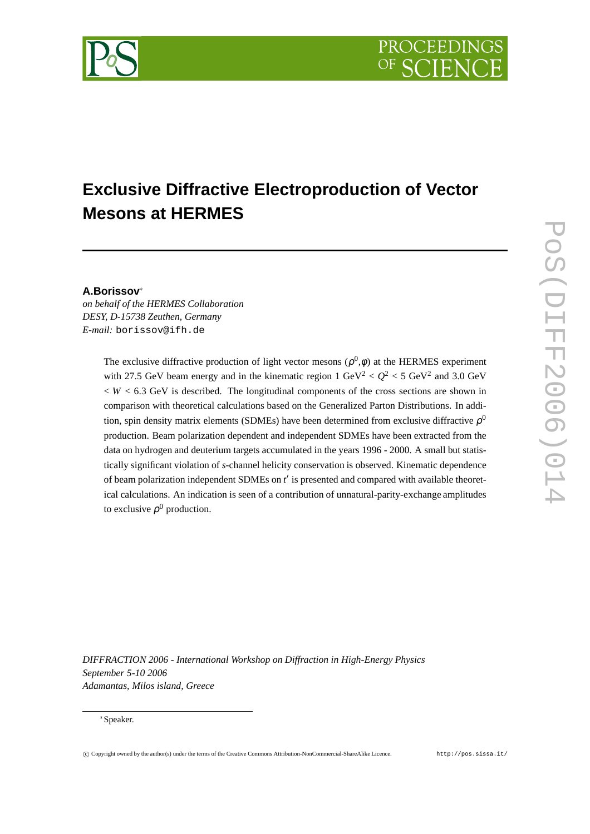# **Exclusive Diffractive Electroproduction of Vector Mesons at HERMES**

### **A.Borissov**

*on behalf of the HERMES Collaboration DESY, D-15738 Zeuthen, Germany E-mail:* borissov@ifh.de

> The exclusive diffractive production of light vector mesons  $(\rho^0, \phi)$  at the HERMES experiment with 27.5 GeV beam energy and in the kinematic region  $1 \text{ GeV}^2 < Q^2 < 5 \text{ GeV}^2$  and 3.0 GeV  $W < 6.3$  GeV is described. The longitudinal components of the cross sections are shown in comparison with theoretical calculations based on the Generalized Parton Distributions. In addition, spin density matrix elements (SDMEs) have been determined from exclusive diffractive  $\rho^0$ production. Beam polarization dependent and independent SDMEs have been extracted from the data on hydrogen and deuterium targets accumulated in the years 1996 - 2000. A small but statistically significant violation of *s*-channel helicity conservation is observed. Kinematic dependence of beam polarization independent SDMEs on *t* is presented and compared with available theoretical calculations. An indication is seen of a contribution of unnatural-parity-exchange amplitudes to exclusive  $\rho^0$  production.

*DIFFRACTION 2006 - International Workshop on Diffraction in High-Energy Physics September 5-10 2006 Adamantas, Milos island, Greece*

#### - Speaker.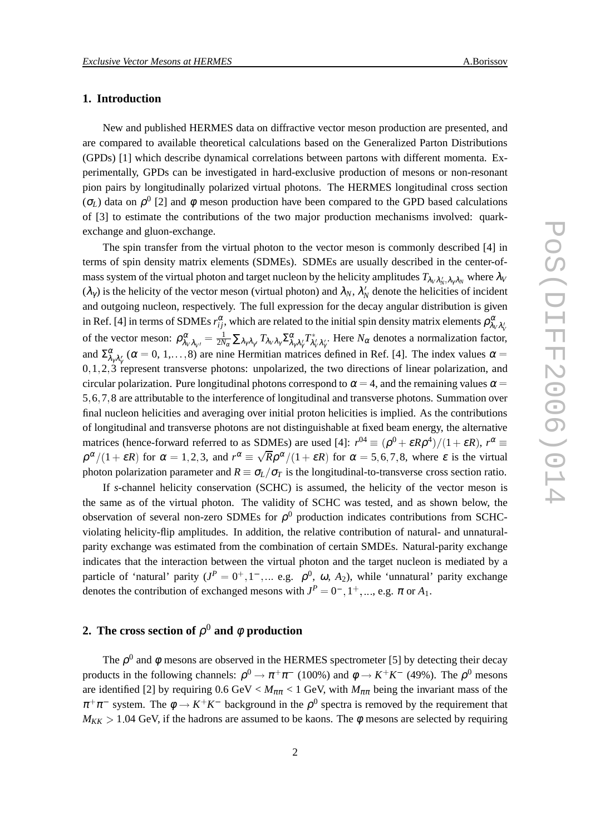#### **1. Introduction**

New and published HERMES data on diffractive vector meson production are presented, and are compared to available theoretical calculations based on the Generalized Parton Distributions (GPDs) [1] which describe dynamical correlations between partons with different momenta. Experimentally, GPDs can be investigated in hard-exclusive production of mesons or non-resonant pion pairs by longitudinally polarized virtual photons. The HERMES longitudinal cross section ( $\sigma$ <sub>*L*</sub>)</sub> data on  $ρ$ <sup>0</sup> [2] and φ meson production have been compared to the GPD based calculations of [3] to estimate the contributions of the two major production mechanisms involved: quarkexchange and gluon-exchange.

The spin transfer from the virtual photon to the vector meson is commonly described [4] in terms of spin density matrix elements (SDMEs). SDMEs are usually described in the center-ofmass system of the virtual photon and target nucleon by the helicity amplitudes  $T_{\lambda_V\lambda'_N,\lambda_\gamma\lambda_N}$  where  $\lambda_V$  $(\lambda_\gamma)$  is the helicity of the vector meson (virtual photon) and  $\lambda_N$ ,  $\lambda'_N$  denote the helicities of incident and outgoing nucleon, respectively. The full expression for the decay angular distribution is given in Ref. [4] in terms of SDMEs  $r_{ij}^{\alpha}$ , which are related to the initial spin density matrix elements  $\rho_{\lambda_V\lambda_V'}^{\alpha}$ of the vector meson:  $\rho^{\alpha}_{\lambda_V \lambda_{V'}} = \frac{1}{2N_{\alpha}} \sum_{\lambda_{\gamma} \lambda_{\gamma'}} T_{\lambda_V \lambda_{\gamma}} \sum_{\lambda_{\gamma} \lambda_{\gamma'}}^{\alpha} T^*_{\lambda_V' \lambda_{\gamma'}}$ . Here  $N_{\alpha}$  denotes a normalization factor, and  $\Sigma_{\lambda_7 \lambda_7'}^{\alpha}$  ( $\alpha = 0, 1, ..., 8$ ) are nine Hermitian matrices defined in Ref. [4]. The index values  $\alpha =$  $0, 1, 2, 3$  represent transverse photons: unpolarized, the two directions of linear polarization, and circular polarization. Pure longitudinal photons correspond to  $\alpha = 4$ , and the remaining values  $\alpha =$ 5 6 7 8 are attributable to the interference of longitudinal and transverse photons. Summation over final nucleon helicities and averaging over initial proton helicities is implied. As the contributions of longitudinal and transverse photons are not distinguishable at fixed beam energy, the alternative matrices (hence-forward referred to as SDMEs) are used [4]:  $r^{04} \equiv (\rho^0 + \varepsilon R \rho^4)/(1 + \varepsilon R)$ ,  $r^{\alpha} \equiv$  $\rho^{\alpha}/(1+\varepsilon R)$  for  $\alpha = 1, 2, 3$ , and  $r^{\alpha} \equiv \sqrt{R\rho^{\alpha}/(1+\varepsilon R)}$  for  $\alpha = 5, 6, 7, 8$ , where  $\varepsilon$  is the virtual photon polarization parameter and  $R \equiv \sigma_L/\sigma_T$  is the longitudinal-to-transverse cross section ratio.

If *s*-channel helicity conservation (SCHC) is assumed, the helicity of the vector meson is the same as of the virtual photon. The validity of SCHC was tested, and as shown below, the observation of several non-zero SDMEs for  $\rho^0$  production indicates contributions from SCHCviolating helicity-flip amplitudes. In addition, the relative contribution of natural- and unnaturalparity exchange was estimated from the combination of certain SMDEs. Natural-parity exchange indicates that the interaction between the virtual photon and the target nucleon is mediated by a particle of 'natural' parity  $(J^P = 0^+, 1^-, ...$  e.g.  $\rho^0$ ,  $\omega$ ,  $A_2$ ), while 'unnatural' parity exchange denotes the contribution of exchanged mesons with  $J^P = 0^-$ ,  $1^+$ , ..., e.g.  $\pi$  or  $A_1$ .

## **2.** The cross section of  $\rho^0$  and  $\phi$  production

The  $\rho^0$  and  $\phi$  mesons are observed in the HERMES spectrometer [5] by detecting their decay products in the following channels:  $\rho^0 \to \pi^+\pi^-$  (100%) and  $\phi \to K^+K^-$  (49%). The  $\rho^0$  mesons are identified [2] by requiring  $0.6 \text{ GeV} < M_{\pi\pi} < 1 \text{ GeV}$ , with  $M_{\pi\pi}$  being the invariant mass of the  $\pi^+\pi^-$  system. The  $\phi \to K^+K^-$  background in the  $\rho^0$  spectra is removed by the requirement that  $M_{KK} > 1.04$  GeV, if the hadrons are assumed to be kaons. The  $\phi$  mesons are selected by requiring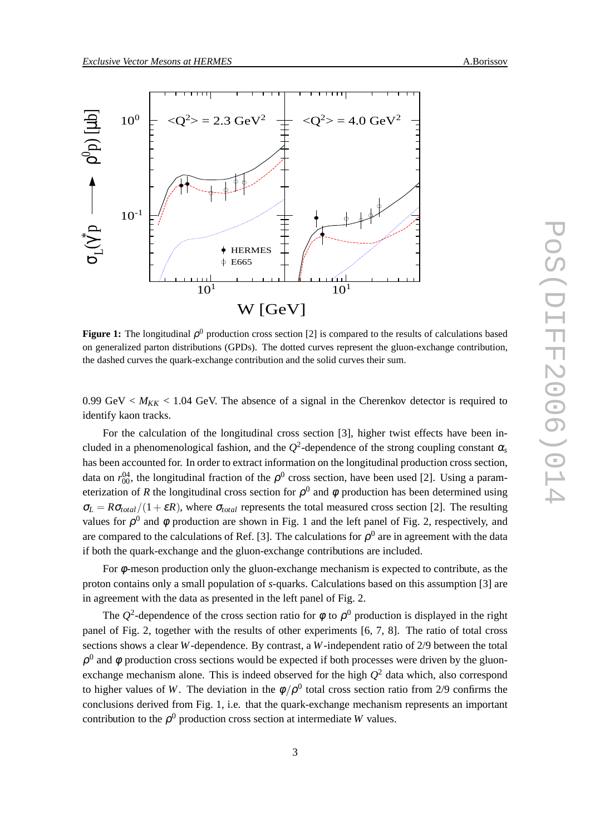



**Figure 1:** The longitudinal  $\rho^0$  production cross section [2] is compared to the results of calculations based on generalized parton distributions (GPDs). The dotted curves represent the gluon-exchange contribution, the dashed curves the quark-exchange contribution and the solid curves their sum.

0.99 GeV  $\lt M_{KK}$   $\lt$  1.04 GeV. The absence of a signal in the Cherenkov detector is required to identify kaon tracks.

For the calculation of the longitudinal cross section [3], higher twist effects have been included in a phenomenological fashion, and the  $Q^2$ -dependence of the strong coupling constant  $\alpha_s$ has been accounted for. In order to extract information on the longitudinal production cross section, data on  $r_{00}^{04}$ , the longitudinal fraction of the  $\rho^0$  cross section, have been used [2]. Using a parameterization of *R* the longitudinal cross section for  $\rho^0$  and  $\phi$  production has been determined using  $\sigma_L = R \sigma_{total} / (1 + \varepsilon R)$ , where  $\sigma_{total}$  represents the total measured cross section [2]. The resulting values for  $\rho^0$  and  $\phi$  production are shown in Fig. 1 and the left panel of Fig. 2, respectively, and are compared to the calculations of Ref. [3]. The calculations for  $\rho^0$  are in agreement with the data if both the quark-exchange and the gluon-exchange contributions are included.

For  $\phi$ -meson production only the gluon-exchange mechanism is expected to contribute, as the proton contains only a small population of *s*-quarks. Calculations based on this assumption [3] are in agreement with the data as presented in the left panel of Fig. 2.

The  $Q^2$ -dependence of the cross section ratio for  $\phi$  to  $\rho^0$  production is displayed in the right panel of Fig. 2, together with the results of other experiments [6, 7, 8]. The ratio of total cross sections shows a clear *W*-dependence. By contrast, a *W*-independent ratio of 2/9 between the total  $\rho^0$  and  $\phi$  production cross sections would be expected if both processes were driven by the gluonexchange mechanism alone. This is indeed observed for the high *Q* <sup>2</sup> data which, also correspond to higher values of W. The deviation in the  $\phi/\rho^0$  total cross section ratio from 2/9 confirms the conclusions derived from Fig. 1, i.e. that the quark-exchange mechanism represents an important contribution to the  $\rho^0$  production cross section at intermediate *W* values.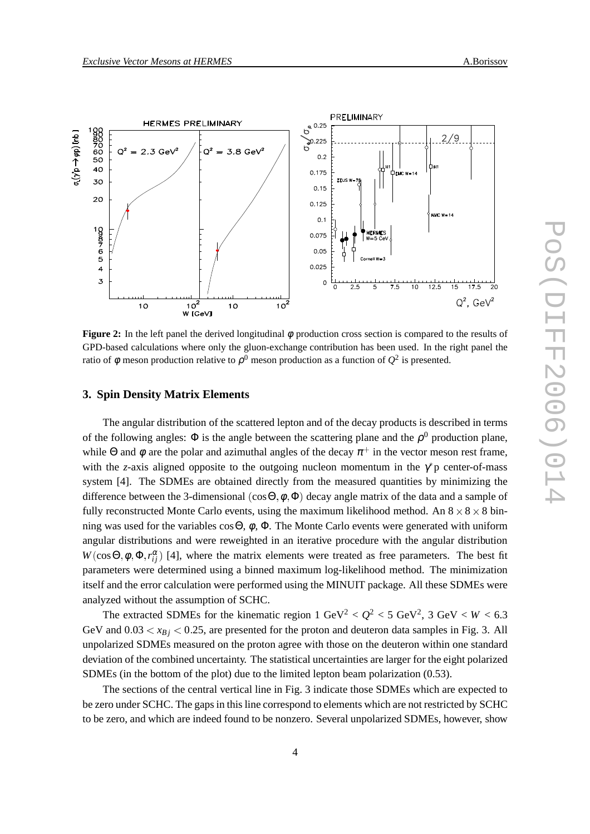

**Figure 2:** In the left panel the derived longitudinal φ production cross section is compared to the results of GPD-based calculations where only the gluon-exchange contribution has been used. In the right panel the ratio of  $\phi$  meson production relative to  $\rho^0$  meson production as a function of  $Q^2$  is presented.

#### **3. Spin Density Matrix Elements**

The angular distribution of the scattered lepton and of the decay products is described in terms of the following angles:  $\Phi$  is the angle between the scattering plane and the  $\rho^0$  production plane, while Θ and φ are the polar and azimuthal angles of the decay  $\pi^+$  in the vector meson rest frame, with the *z*-axis aligned opposite to the outgoing nucleon momentum in the  $\gamma$ <sup>\*</sup>p center-of-mass system [4]. The SDMEs are obtained directly from the measured quantities by minimizing the difference between the 3-dimensional  $(\cos \Theta, \phi, \Phi)$  decay angle matrix of the data and a sample of fully reconstructed Monte Carlo events, using the maximum likelihood method. An  $8 \times 8 \times 8$  binning was used for the variables  $\cos\Theta$ ,  $\phi$ ,  $\Phi$ . The Monte Carlo events were generated with uniform angular distributions and were reweighted in an iterative procedure with the angular distribution  $W(\cos\Theta, \phi, \Phi, r_{ij}^{\alpha})$  [4], where the matrix elements were treated as free parameters. The best fit parameters were determined using a binned maximum log-likelihood method. The minimization itself and the error calculation were performed using the MINUIT package. All these SDMEs were analyzed without the assumption of SCHC.

The extracted SDMEs for the kinematic region  $1 \text{ GeV}^2 < Q^2 < 5 \text{ GeV}^2$ ,  $3 \text{ GeV} < W < 6.3$ GeV and  $0.03 < x_{Bj} < 0.25$ , are presented for the proton and deuteron data samples in Fig. 3. All unpolarized SDMEs measured on the proton agree with those on the deuteron within one standard deviation of the combined uncertainty. The statistical uncertainties are larger for the eight polarized SDMEs (in the bottom of the plot) due to the limited lepton beam polarization (0.53).

The sections of the central vertical line in Fig. 3 indicate those SDMEs which are expected to be zero under SCHC. The gaps in this line correspond to elements which are not restricted by SCHC to be zero, and which are indeed found to be nonzero. Several unpolarized SDMEs, however, show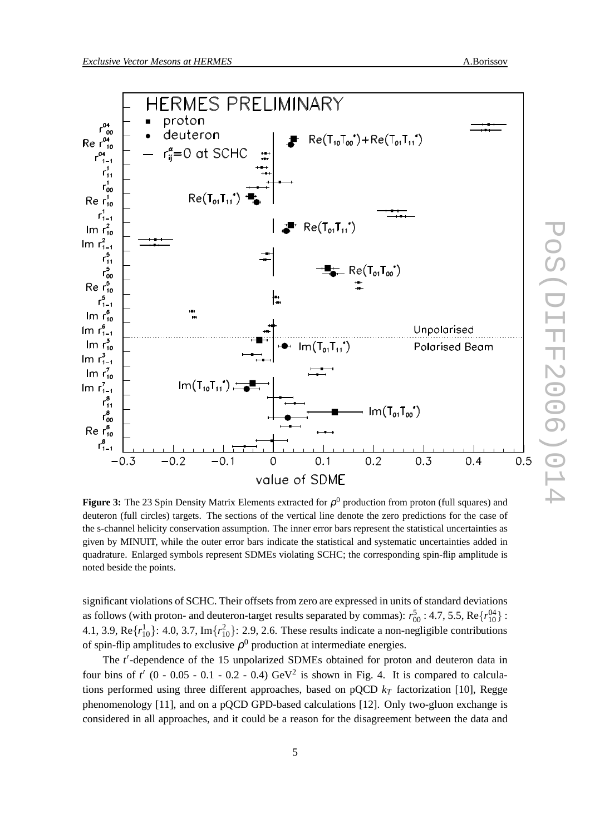PoS(DIFF2006)014

 $\overline{\phantom{0}}$ 



**Figure 3:** The 23 Spin Density Matrix Elements extracted for ρ <sup>0</sup> production from proton (full squares) and deuteron (full circles) targets. The sections of the vertical line denote the zero predictions for the case of the s-channel helicity conservation assumption. The inner error bars represent the statistical uncertainties as given by MINUIT, while the outer error bars indicate the statistical and systematic uncertainties added in quadrature. Enlarged symbols represent SDMEs violating SCHC; the corresponding spin-flip amplitude is noted beside the points.

significant violations of SCHC. Their offsets from zero are expressed in units of standard deviations as follows (with proton- and deuteron-target results separated by commas):  $r_{00}^5$  : 4.7, 5.5, Re $\{r_{10}^{04}\}$  : 4.1, 3.9,  $\text{Re}\{r_{10}^1\}$ : 4.0, 3.7,  $\text{Im}\{r_{10}^2\}$ : 2.9, 2.6. These results indicate a non-negligible contributions of spin-flip amplitudes to exclusive  $\rho^0$  production at intermediate energies.

The *t* -dependence of the 15 unpolarized SDMEs obtained for proton and deuteron data in four bins of  $t'$  (0 - 0.05 - 0.1 - 0.2 - 0.4)  $\text{GeV}^2$  is shown in Fig. 4. It is compared to calculations performed using three different approaches, based on pQCD *k<sup>T</sup>* factorization [10], Regge phenomenology [11], and on a pQCD GPD-based calculations [12]. Only two-gluon exchange is considered in all approaches, and it could be a reason for the disagreement between the data and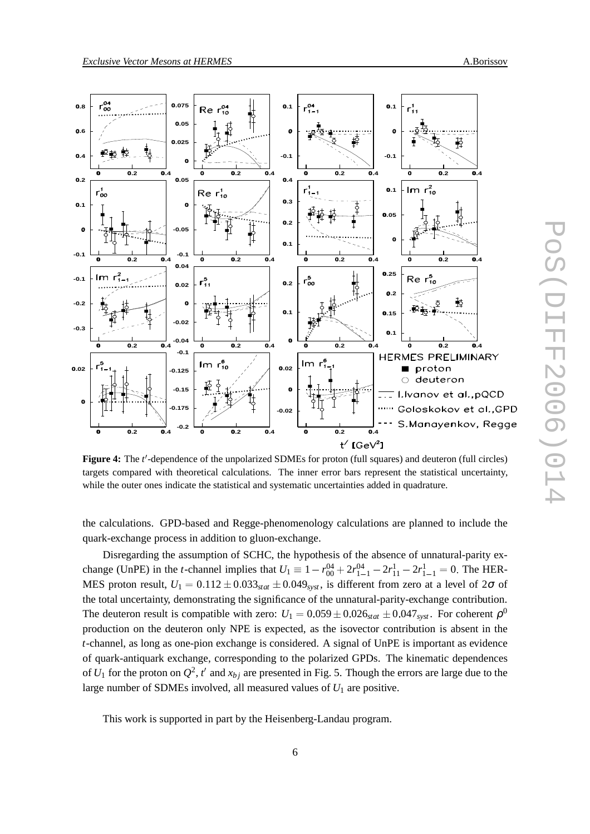

**Figure 4:** The *t'*-dependence of the unpolarized SDMEs for proton (full squares) and deuteron (full circles) targets compared with theoretical calculations. The inner error bars represent the statistical uncertainty, while the outer ones indicate the statistical and systematic uncertainties added in quadrature.

the calculations. GPD-based and Regge-phenomenology calculations are planned to include the quark-exchange process in addition to gluon-exchange.

Disregarding the assumption of SCHC, the hypothesis of the absence of unnatural-parity exchange (UnPE) in the *t*-channel implies that  $U_1 \equiv 1 - r_{00}^{04} + 2r_{1-1}^{04} - 2r_{11}^1 - 2r_{1-1}^1 = 0$ . The HER-MES proton result,  $U_1 = 0.112 \pm 0.033_{stat} \pm 0.049_{syst}$ , is different from zero at a level of  $2\sigma$  of the total uncertainty, demonstrating the significance of the unnatural-parity-exchange contribution. The deuteron result is compatible with zero:  $U_1 = 0.059 \pm 0.026_{stat} \pm 0.047_{syst}$ . For coherent  $\rho^0$  production on the deuteron only NPE is expected, as the isovector contribution is absent in the *t*-channel, as long as one-pion exchange is considered. A signal of UnPE is important as evidence of quark-antiquark exchange, corresponding to the polarized GPDs. The kinematic dependences of  $U_1$  for the proton on  $Q^2$ ,  $t'$  and  $x_{bj}$  are presented in Fig. 5. Though the errors are large due to the large number of SDMEs involved, all measured values of  $U_1$  are positive.

This work is supported in part by the Heisenberg-Landau program.